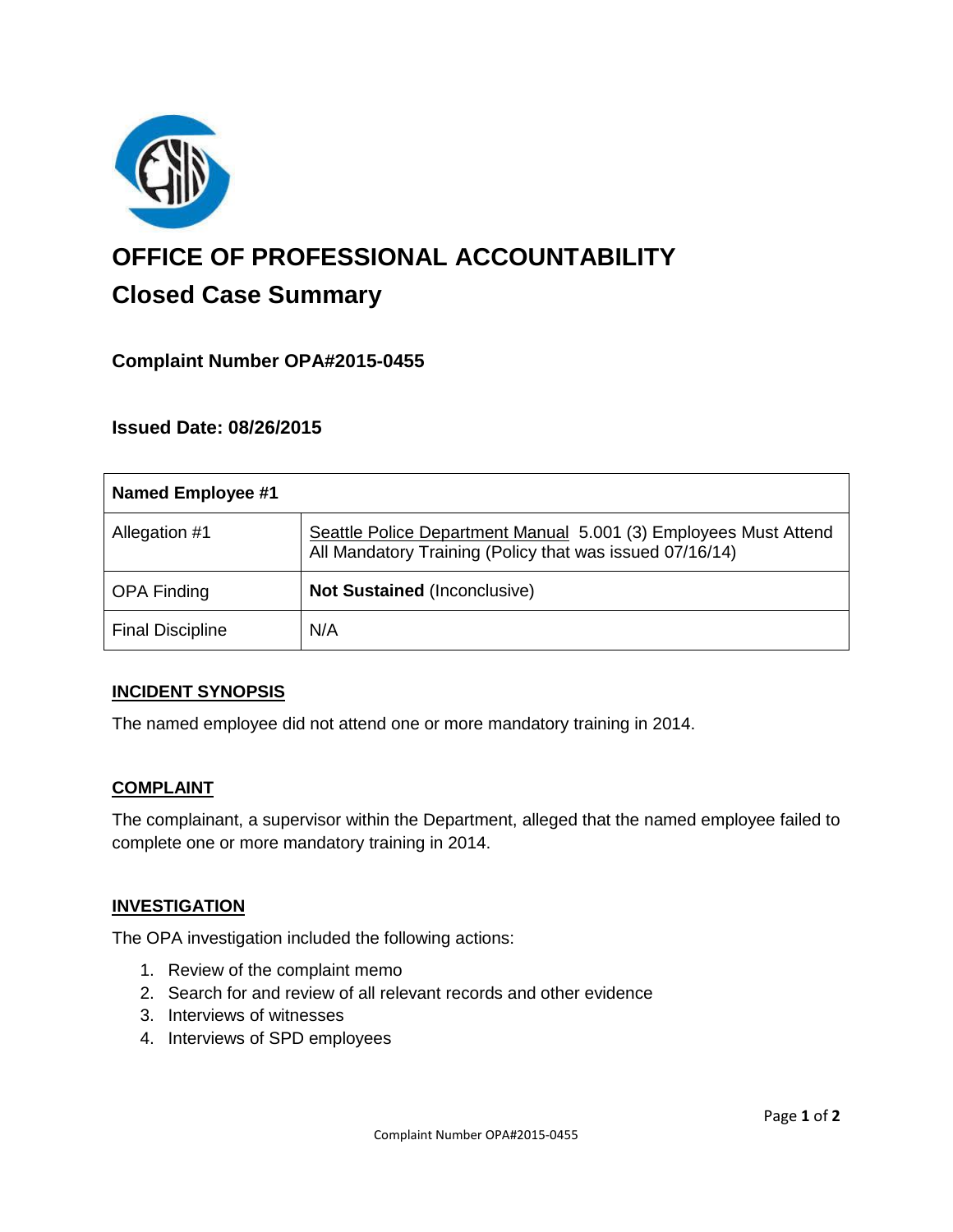

# **OFFICE OF PROFESSIONAL ACCOUNTABILITY Closed Case Summary**

## **Complaint Number OPA#2015-0455**

### **Issued Date: 08/26/2015**

| <b>Named Employee #1</b> |                                                                                                                              |
|--------------------------|------------------------------------------------------------------------------------------------------------------------------|
| Allegation #1            | Seattle Police Department Manual 5.001 (3) Employees Must Attend<br>All Mandatory Training (Policy that was issued 07/16/14) |
| <b>OPA Finding</b>       | <b>Not Sustained (Inconclusive)</b>                                                                                          |
| <b>Final Discipline</b>  | N/A                                                                                                                          |

#### **INCIDENT SYNOPSIS**

The named employee did not attend one or more mandatory training in 2014.

#### **COMPLAINT**

The complainant, a supervisor within the Department, alleged that the named employee failed to complete one or more mandatory training in 2014.

#### **INVESTIGATION**

The OPA investigation included the following actions:

- 1. Review of the complaint memo
- 2. Search for and review of all relevant records and other evidence
- 3. Interviews of witnesses
- 4. Interviews of SPD employees